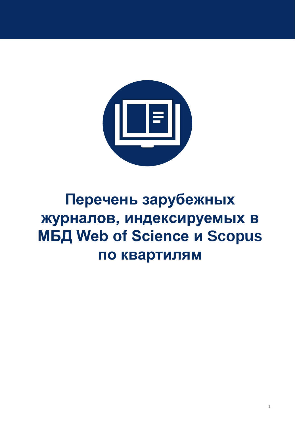

# **Перечень зарубежных журналов, индексируемых в МБД Web of Science и Scopus по квартилям**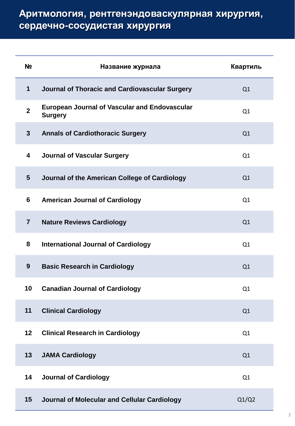| N <sub>2</sub> | Название журнала                                                       | Квартиль |
|----------------|------------------------------------------------------------------------|----------|
| 1              | Journal of Thoracic and Cardiovascular Surgery                         | Q1       |
| $\overline{2}$ | <b>European Journal of Vascular and Endovascular</b><br><b>Surgery</b> | Q1       |
| $\mathbf{3}$   | <b>Annals of Cardiothoracic Surgery</b>                                | Q1       |
| 4              | <b>Journal of Vascular Surgery</b>                                     | Q1       |
| 5              | Journal of the American College of Cardiology                          | Q1       |
| 6              | <b>American Journal of Cardiology</b>                                  | Q1       |
| $\overline{7}$ | <b>Nature Reviews Cardiology</b>                                       | Q1       |
| 8              | <b>International Journal of Cardiology</b>                             | Q1       |
| 9              | <b>Basic Research in Cardiology</b>                                    | Q1       |
| 10             | <b>Canadian Journal of Cardiology</b>                                  | Q1       |
| 11             | <b>Clinical Cardiology</b>                                             | Q1       |
| 12             | <b>Clinical Research in Cardiology</b>                                 | Q1       |
| 13             | <b>JAMA Cardiology</b>                                                 | Q1       |
| 14             | <b>Journal of Cardiology</b>                                           | Q1       |
| 15             | Journal of Molecular and Cellular Cardiology                           | Q1/Q2    |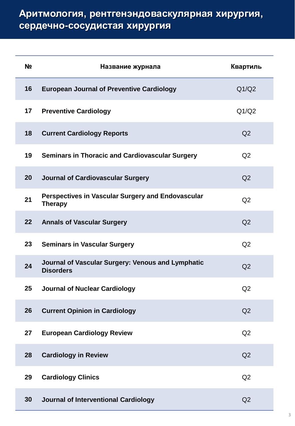| Nº | Название журнала                                                           | Квартиль       |
|----|----------------------------------------------------------------------------|----------------|
| 16 | <b>European Journal of Preventive Cardiology</b>                           | Q1/Q2          |
| 17 | <b>Preventive Cardiology</b>                                               | Q1/Q2          |
| 18 | <b>Current Cardiology Reports</b>                                          | Q <sub>2</sub> |
| 19 | <b>Seminars in Thoracic and Cardiovascular Surgery</b>                     | Q <sub>2</sub> |
| 20 | <b>Journal of Cardiovascular Surgery</b>                                   | Q <sub>2</sub> |
| 21 | <b>Perspectives in Vascular Surgery and Endovascular</b><br><b>Therapy</b> | Q <sub>2</sub> |
| 22 | <b>Annals of Vascular Surgery</b>                                          | Q <sub>2</sub> |
| 23 | <b>Seminars in Vascular Surgery</b>                                        | Q2             |
| 24 | Journal of Vascular Surgery: Venous and Lymphatic<br><b>Disorders</b>      | Q <sub>2</sub> |
| 25 | <b>Journal of Nuclear Cardiology</b>                                       | Q2             |
| 26 | <b>Current Opinion in Cardiology</b>                                       | Q2             |
| 27 | <b>European Cardiology Review</b>                                          | Q2             |
| 28 | <b>Cardiology in Review</b>                                                | Q2             |
| 29 | <b>Cardiology Clinics</b>                                                  | Q2             |
| 30 | <b>Journal of Interventional Cardiology</b>                                | Q <sub>2</sub> |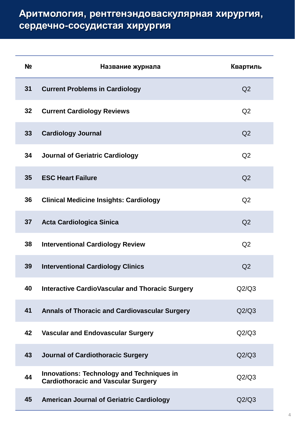| N <sub>2</sub> | Название журнала                                                                               | Квартиль       |
|----------------|------------------------------------------------------------------------------------------------|----------------|
| 31             | <b>Current Problems in Cardiology</b>                                                          | Q <sub>2</sub> |
| 32             | <b>Current Cardiology Reviews</b>                                                              | Q2             |
| 33             | <b>Cardiology Journal</b>                                                                      | Q <sub>2</sub> |
| 34             | <b>Journal of Geriatric Cardiology</b>                                                         | Q2             |
| 35             | <b>ESC Heart Failure</b>                                                                       | Q2             |
| 36             | <b>Clinical Medicine Insights: Cardiology</b>                                                  | Q <sub>2</sub> |
| 37             | <b>Acta Cardiologica Sinica</b>                                                                | Q <sub>2</sub> |
| 38             | <b>Interventional Cardiology Review</b>                                                        | Q2             |
| 39             | <b>Interventional Cardiology Clinics</b>                                                       | Q2             |
| 40             | <b>Interactive CardioVascular and Thoracic Surgery</b>                                         | Q2/Q3          |
| 41             | <b>Annals of Thoracic and Cardiovascular Surgery</b>                                           | Q2/Q3          |
| 42             | Vascular and Endovascular Surgery                                                              | Q2/Q3          |
| 43             | <b>Journal of Cardiothoracic Surgery</b>                                                       | Q2/Q3          |
| 44             | <b>Innovations: Technology and Techniques in</b><br><b>Cardiothoracic and Vascular Surgery</b> | Q2/Q3          |
| 45             | <b>American Journal of Geriatric Cardiology</b>                                                | Q2/Q3          |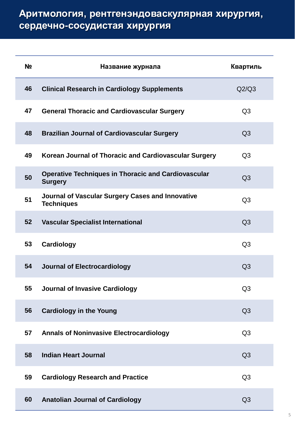| N <sub>2</sub> | Название журнала                                                             | Квартиль       |
|----------------|------------------------------------------------------------------------------|----------------|
| 46             | <b>Clinical Research in Cardiology Supplements</b>                           | Q2/Q3          |
| 47             | <b>General Thoracic and Cardiovascular Surgery</b>                           | Q <sub>3</sub> |
| 48             | <b>Brazilian Journal of Cardiovascular Surgery</b>                           | Q <sub>3</sub> |
| 49             | Korean Journal of Thoracic and Cardiovascular Surgery                        | Q <sub>3</sub> |
| 50             | <b>Operative Techniques in Thoracic and Cardiovascular</b><br><b>Surgery</b> | Q <sub>3</sub> |
| 51             | <b>Journal of Vascular Surgery Cases and Innovative</b><br><b>Techniques</b> | Q <sub>3</sub> |
| 52             | <b>Vascular Specialist International</b>                                     | Q <sub>3</sub> |
| 53             | Cardiology                                                                   | Q <sub>3</sub> |
| 54             | <b>Journal of Electrocardiology</b>                                          | Q <sub>3</sub> |
| 55             | <b>Journal of Invasive Cardiology</b>                                        | Q <sub>3</sub> |
| 56             | <b>Cardiology in the Young</b>                                               | Q <sub>3</sub> |
| 57             | <b>Annals of Noninvasive Electrocardiology</b>                               | Q <sub>3</sub> |
| 58             | <b>Indian Heart Journal</b>                                                  | Q <sub>3</sub> |
| 59             | <b>Cardiology Research and Practice</b>                                      | Q <sub>3</sub> |
| 60             | <b>Anatolian Journal of Cardiology</b>                                       | Q <sub>3</sub> |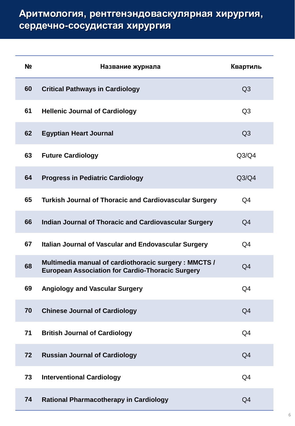| N <sub>2</sub> | Название журнала                                                                                                | Квартиль       |
|----------------|-----------------------------------------------------------------------------------------------------------------|----------------|
| 60             | <b>Critical Pathways in Cardiology</b>                                                                          | Q <sub>3</sub> |
| 61             | <b>Hellenic Journal of Cardiology</b>                                                                           | Q <sub>3</sub> |
| 62             | <b>Egyptian Heart Journal</b>                                                                                   | Q <sub>3</sub> |
| 63             | <b>Future Cardiology</b>                                                                                        | Q3/Q4          |
| 64             | <b>Progress in Pediatric Cardiology</b>                                                                         | Q3/Q4          |
| 65             | <b>Turkish Journal of Thoracic and Cardiovascular Surgery</b>                                                   | Q4             |
| 66             | <b>Indian Journal of Thoracic and Cardiovascular Surgery</b>                                                    | Q <sub>4</sub> |
| 67             | <b>Italian Journal of Vascular and Endovascular Surgery</b>                                                     | Q4             |
| 68             | Multimedia manual of cardiothoracic surgery: MMCTS /<br><b>European Association for Cardio-Thoracic Surgery</b> | Q <sub>4</sub> |
| 69             | <b>Angiology and Vascular Surgery</b>                                                                           | Q4             |
| 70             | <b>Chinese Journal of Cardiology</b>                                                                            | Q <sub>4</sub> |
| 71             | <b>British Journal of Cardiology</b>                                                                            | Q <sub>4</sub> |
| 72             | <b>Russian Journal of Cardiology</b>                                                                            | Q <sub>4</sub> |
| 73             | <b>Interventional Cardiology</b>                                                                                | Q4             |
| 74             | <b>Rational Pharmacotherapy in Cardiology</b>                                                                   | Q <sub>4</sub> |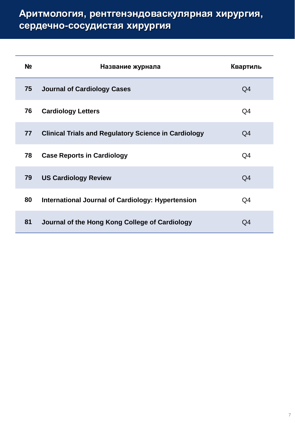| Nº | Название журнала                                            | Квартиль       |
|----|-------------------------------------------------------------|----------------|
| 75 | <b>Journal of Cardiology Cases</b>                          | Q4             |
| 76 | <b>Cardiology Letters</b>                                   | Q4             |
| 77 | <b>Clinical Trials and Regulatory Science in Cardiology</b> | Q4             |
| 78 | <b>Case Reports in Cardiology</b>                           | Q4             |
| 79 | <b>US Cardiology Review</b>                                 | Q <sub>4</sub> |
| 80 | <b>International Journal of Cardiology: Hypertension</b>    | Q4             |
| 81 | Journal of the Hong Kong College of Cardiology              | O4             |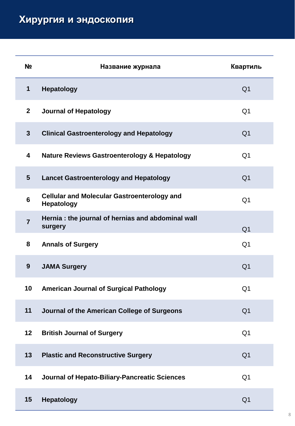## **Хирургия и эндоскопия**

| N <sub>2</sub> | Название журнала                                                        | Квартиль       |
|----------------|-------------------------------------------------------------------------|----------------|
| $\mathbf 1$    | <b>Hepatology</b>                                                       | Q <sub>1</sub> |
| $\overline{2}$ | <b>Journal of Hepatology</b>                                            | Q <sub>1</sub> |
| $\mathbf{3}$   | <b>Clinical Gastroenterology and Hepatology</b>                         | Q <sub>1</sub> |
| 4              | <b>Nature Reviews Gastroenterology &amp; Hepatology</b>                 | Q <sub>1</sub> |
| $5\phantom{1}$ | <b>Lancet Gastroenterology and Hepatology</b>                           | Q <sub>1</sub> |
| $6\phantom{1}$ | <b>Cellular and Molecular Gastroenterology and</b><br><b>Hepatology</b> | Q <sub>1</sub> |
| $\overline{7}$ | Hernia : the journal of hernias and abdominal wall<br>surgery           | Q <sub>1</sub> |
| 8              | <b>Annals of Surgery</b>                                                | Q <sub>1</sub> |
| 9              | <b>JAMA Surgery</b>                                                     | Q <sub>1</sub> |
| 10             | <b>American Journal of Surgical Pathology</b>                           | Q <sub>1</sub> |
| 11             | Journal of the American College of Surgeons                             | Q <sub>1</sub> |
| 12             | <b>British Journal of Surgery</b>                                       | Q <sub>1</sub> |
| 13             | <b>Plastic and Reconstructive Surgery</b>                               | Q <sub>1</sub> |
| 14             | <b>Journal of Hepato-Biliary-Pancreatic Sciences</b>                    | Q <sub>1</sub> |
| 15             | <b>Hepatology</b>                                                       | Q <sub>1</sub> |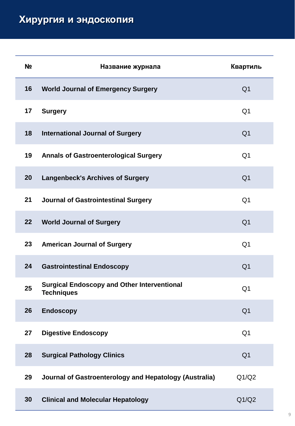| N <sub>2</sub> | Название журнала                                                        | Квартиль       |
|----------------|-------------------------------------------------------------------------|----------------|
| 16             | <b>World Journal of Emergency Surgery</b>                               | Q <sub>1</sub> |
| 17             | <b>Surgery</b>                                                          | Q <sub>1</sub> |
| 18             | <b>International Journal of Surgery</b>                                 | Q <sub>1</sub> |
| 19             | <b>Annals of Gastroenterological Surgery</b>                            | Q <sub>1</sub> |
| 20             | <b>Langenbeck's Archives of Surgery</b>                                 | Q <sub>1</sub> |
| 21             | <b>Journal of Gastrointestinal Surgery</b>                              | Q <sub>1</sub> |
| 22             | <b>World Journal of Surgery</b>                                         | Q <sub>1</sub> |
| 23             | <b>American Journal of Surgery</b>                                      | Q <sub>1</sub> |
| 24             | <b>Gastrointestinal Endoscopy</b>                                       | Q <sub>1</sub> |
| 25             | <b>Surgical Endoscopy and Other Interventional</b><br><b>Techniques</b> | Q <sub>1</sub> |
| 26             | <b>Endoscopy</b>                                                        | Q <sub>1</sub> |
| 27             | <b>Digestive Endoscopy</b>                                              | Q <sub>1</sub> |
| 28             | <b>Surgical Pathology Clinics</b>                                       | Q <sub>1</sub> |
| 29             | Journal of Gastroenterology and Hepatology (Australia)                  | Q1/Q2          |
| 30             | <b>Clinical and Molecular Hepatology</b>                                | Q1/Q2          |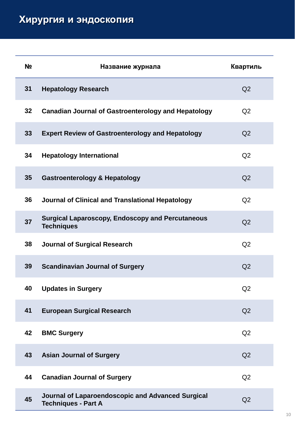| N <sub>2</sub> | Название журнала                                                                | Квартиль       |
|----------------|---------------------------------------------------------------------------------|----------------|
| 31             | <b>Hepatology Research</b>                                                      | Q <sub>2</sub> |
| 32             | <b>Canadian Journal of Gastroenterology and Hepatology</b>                      | Q <sub>2</sub> |
| 33             | <b>Expert Review of Gastroenterology and Hepatology</b>                         | Q <sub>2</sub> |
| 34             | <b>Hepatology International</b>                                                 | Q <sub>2</sub> |
| 35             | <b>Gastroenterology &amp; Hepatology</b>                                        | Q <sub>2</sub> |
| 36             | Journal of Clinical and Translational Hepatology                                | Q2             |
| 37             | <b>Surgical Laparoscopy, Endoscopy and Percutaneous</b><br><b>Techniques</b>    | Q <sub>2</sub> |
| 38             | <b>Journal of Surgical Research</b>                                             | Q2             |
| 39             | <b>Scandinavian Journal of Surgery</b>                                          | Q2             |
| 40             | <b>Updates in Surgery</b>                                                       | Q2             |
| 41             | <b>European Surgical Research</b>                                               | Q2             |
| 42             | <b>BMC Surgery</b>                                                              | Q2             |
| 43             | <b>Asian Journal of Surgery</b>                                                 | Q <sub>2</sub> |
| 44             | <b>Canadian Journal of Surgery</b>                                              | Q2             |
| 45             | Journal of Laparoendoscopic and Advanced Surgical<br><b>Techniques - Part A</b> | Q <sub>2</sub> |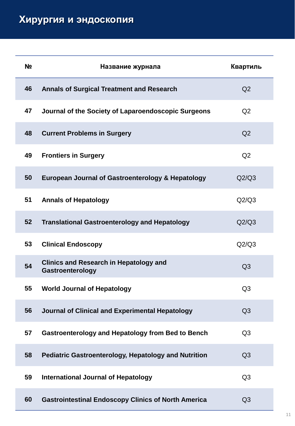| N <sub>2</sub> | Название журнала                                                  | Квартиль       |
|----------------|-------------------------------------------------------------------|----------------|
| 46             | <b>Annals of Surgical Treatment and Research</b>                  | Q <sub>2</sub> |
| 47             | Journal of the Society of Laparoendoscopic Surgeons               | Q <sub>2</sub> |
| 48             | <b>Current Problems in Surgery</b>                                | Q <sub>2</sub> |
| 49             | <b>Frontiers in Surgery</b>                                       | Q2             |
| 50             | European Journal of Gastroenterology & Hepatology                 | Q2/Q3          |
| 51             | <b>Annals of Hepatology</b>                                       | Q2/Q3          |
| 52             | <b>Translational Gastroenterology and Hepatology</b>              | Q2/Q3          |
| 53             | <b>Clinical Endoscopy</b>                                         | Q2/Q3          |
| 54             | <b>Clinics and Research in Hepatology and</b><br>Gastroenterology | Q <sub>3</sub> |
| 55             | <b>World Journal of Hepatology</b>                                | Q <sub>3</sub> |
| 56             | Journal of Clinical and Experimental Hepatology                   | Q3             |
| 57             | <b>Gastroenterology and Hepatology from Bed to Bench</b>          | Q <sub>3</sub> |
| 58             | <b>Pediatric Gastroenterology, Hepatology and Nutrition</b>       | Q <sub>3</sub> |
| 59             | <b>International Journal of Hepatology</b>                        | Q <sub>3</sub> |
| 60             | <b>Gastrointestinal Endoscopy Clinics of North America</b>        | Q <sub>3</sub> |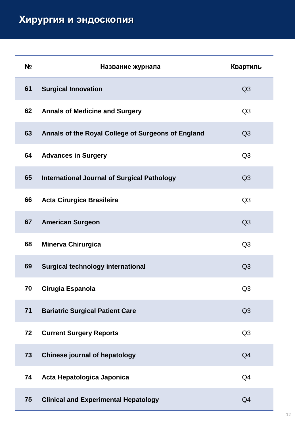## **Хирургия и эндоскопия**

| N <sub>2</sub> | Название журнала                                   | Квартиль       |
|----------------|----------------------------------------------------|----------------|
| 61             | <b>Surgical Innovation</b>                         | Q <sub>3</sub> |
| 62             | <b>Annals of Medicine and Surgery</b>              | Q <sub>3</sub> |
| 63             | Annals of the Royal College of Surgeons of England | Q <sub>3</sub> |
| 64             | <b>Advances in Surgery</b>                         | Q <sub>3</sub> |
| 65             | <b>International Journal of Surgical Pathology</b> | Q <sub>3</sub> |
| 66             | <b>Acta Cirurgica Brasileira</b>                   | Q <sub>3</sub> |
| 67             | <b>American Surgeon</b>                            | Q <sub>3</sub> |
| 68             | <b>Minerva Chirurgica</b>                          | Q <sub>3</sub> |
| 69             | <b>Surgical technology international</b>           | Q <sub>3</sub> |
| 70             | Cirugia Espanola                                   | Q <sub>3</sub> |
| 71             | <b>Bariatric Surgical Patient Care</b>             | Q3             |
| 72             | <b>Current Surgery Reports</b>                     | Q <sub>3</sub> |
| 73             | <b>Chinese journal of hepatology</b>               | Q <sub>4</sub> |
| 74             | Acta Hepatologica Japonica                         | Q <sub>4</sub> |
| 75             | <b>Clinical and Experimental Hepatology</b>        | Q <sub>4</sub> |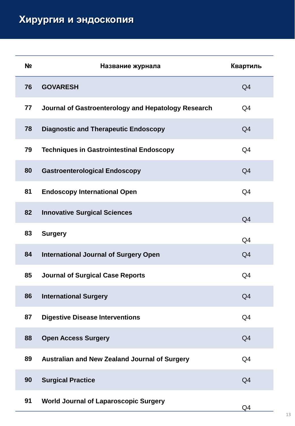| N <sub>2</sub> | Название журнала                                     | Квартиль       |
|----------------|------------------------------------------------------|----------------|
| 76             | <b>GOVARESH</b>                                      | Q <sub>4</sub> |
| 77             | Journal of Gastroenterology and Hepatology Research  | Q <sub>4</sub> |
| 78             | <b>Diagnostic and Therapeutic Endoscopy</b>          | Q <sub>4</sub> |
| 79             | <b>Techniques in Gastrointestinal Endoscopy</b>      | Q <sub>4</sub> |
| 80             | <b>Gastroenterological Endoscopy</b>                 | Q <sub>4</sub> |
| 81             | <b>Endoscopy International Open</b>                  | Q4             |
| 82             | <b>Innovative Surgical Sciences</b>                  | Q <sub>4</sub> |
| 83             | <b>Surgery</b>                                       | Q <sub>4</sub> |
| 84             | <b>International Journal of Surgery Open</b>         | Q <sub>4</sub> |
| 85             | <b>Journal of Surgical Case Reports</b>              | Q <sub>4</sub> |
| 86             | <b>International Surgery</b>                         | Q <sub>4</sub> |
| 87             | <b>Digestive Disease Interventions</b>               | Q4             |
| 88             | <b>Open Access Surgery</b>                           | Q <sub>4</sub> |
| 89             | <b>Australian and New Zealand Journal of Surgery</b> | Q <sub>4</sub> |
| 90             | <b>Surgical Practice</b>                             | Q <sub>4</sub> |
| 91             | <b>World Journal of Laparoscopic Surgery</b>         | Q4             |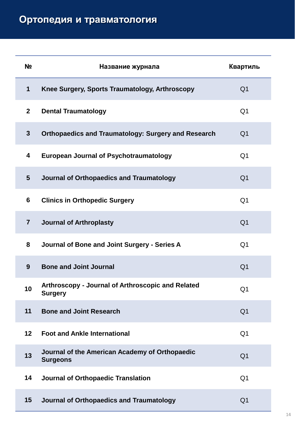| N <sub>2</sub> | Название журнала                                                    | Квартиль       |
|----------------|---------------------------------------------------------------------|----------------|
| $\mathbf{1}$   | Knee Surgery, Sports Traumatology, Arthroscopy                      | Q <sub>1</sub> |
| $\overline{2}$ | <b>Dental Traumatology</b>                                          | Q <sub>1</sub> |
| $\mathbf{3}$   | <b>Orthopaedics and Traumatology: Surgery and Research</b>          | Q <sub>1</sub> |
| 4              | <b>European Journal of Psychotraumatology</b>                       | Q <sub>1</sub> |
| 5              | <b>Journal of Orthopaedics and Traumatology</b>                     | Q <sub>1</sub> |
| 6              | <b>Clinics in Orthopedic Surgery</b>                                | Q <sub>1</sub> |
| $\overline{7}$ | <b>Journal of Arthroplasty</b>                                      | Q <sub>1</sub> |
| 8              | Journal of Bone and Joint Surgery - Series A                        | Q <sub>1</sub> |
| 9              | <b>Bone and Joint Journal</b>                                       | Q <sub>1</sub> |
| 10             | Arthroscopy - Journal of Arthroscopic and Related<br><b>Surgery</b> | Q <sub>1</sub> |
| 11             | <b>Bone and Joint Research</b>                                      | Q <sub>1</sub> |
| 12             | <b>Foot and Ankle International</b>                                 | Q <sub>1</sub> |
| 13             | Journal of the American Academy of Orthopaedic<br><b>Surgeons</b>   | Q <sub>1</sub> |
| 14             | <b>Journal of Orthopaedic Translation</b>                           | Q <sub>1</sub> |
| 15             | Journal of Orthopaedics and Traumatology                            | Q <sub>1</sub> |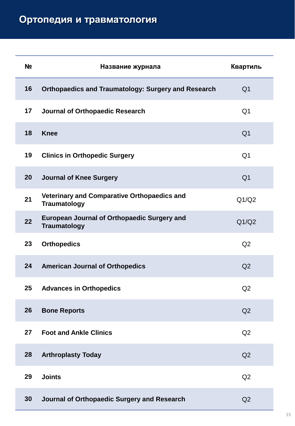| N <sub>2</sub> | Название журнала                                                   | Квартиль       |
|----------------|--------------------------------------------------------------------|----------------|
| 16             | <b>Orthopaedics and Traumatology: Surgery and Research</b>         | Q <sub>1</sub> |
| 17             | Journal of Orthopaedic Research                                    | Q <sub>1</sub> |
| 18             | <b>Knee</b>                                                        | Q <sub>1</sub> |
| 19             | <b>Clinics in Orthopedic Surgery</b>                               | Q <sub>1</sub> |
| 20             | <b>Journal of Knee Surgery</b>                                     | Q <sub>1</sub> |
| 21             | Veterinary and Comparative Orthopaedics and<br><b>Traumatology</b> | Q1/Q2          |
| 22             | European Journal of Orthopaedic Surgery and<br><b>Traumatology</b> | Q1/Q2          |
| 23             | <b>Orthopedics</b>                                                 | Q2             |
| 24             | <b>American Journal of Orthopedics</b>                             | Q <sub>2</sub> |
| 25             | <b>Advances in Orthopedics</b>                                     | Q2             |
| 26             | <b>Bone Reports</b>                                                | Q2             |
| 27             | <b>Foot and Ankle Clinics</b>                                      | Q2             |
| 28             | <b>Arthroplasty Today</b>                                          | Q <sub>2</sub> |
| 29             | <b>Joints</b>                                                      | Q2             |
| 30             | Journal of Orthopaedic Surgery and Research                        | Q2             |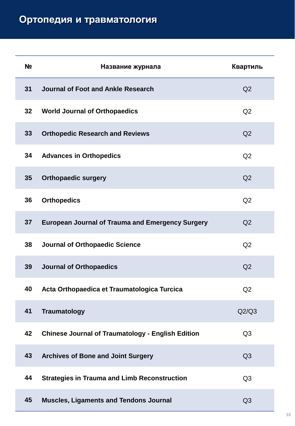| N <sub>2</sub> | Название журнала                                         | Квартиль       |
|----------------|----------------------------------------------------------|----------------|
| 31             | Journal of Foot and Ankle Research                       | Q <sub>2</sub> |
| 32             | <b>World Journal of Orthopaedics</b>                     | Q2             |
| 33             | <b>Orthopedic Research and Reviews</b>                   | Q <sub>2</sub> |
| 34             | <b>Advances in Orthopedics</b>                           | Q2             |
| 35             | <b>Orthopaedic surgery</b>                               | Q2             |
| 36             | <b>Orthopedics</b>                                       | Q2             |
| 37             | <b>European Journal of Trauma and Emergency Surgery</b>  | Q <sub>2</sub> |
| 38             | <b>Journal of Orthopaedic Science</b>                    | Q2             |
| 39             | <b>Journal of Orthopaedics</b>                           | Q2             |
| 40             | Acta Orthopaedica et Traumatologica Turcica              | Q2             |
| 41             | <b>Traumatology</b>                                      | Q2/Q3          |
| 42             | <b>Chinese Journal of Traumatology - English Edition</b> | Q <sub>3</sub> |
| 43             | <b>Archives of Bone and Joint Surgery</b>                | Q3             |
| 44             | <b>Strategies in Trauma and Limb Reconstruction</b>      | Q <sub>3</sub> |
| 45             | <b>Muscles, Ligaments and Tendons Journal</b>            | Q <sub>3</sub> |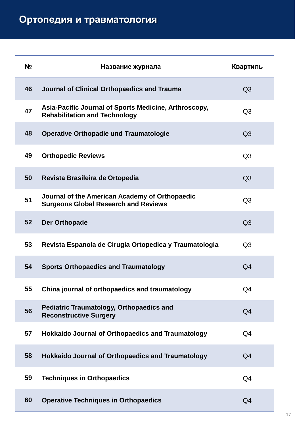| N <sub>2</sub> | Название журнала                                                                              | Квартиль       |
|----------------|-----------------------------------------------------------------------------------------------|----------------|
| 46             | Journal of Clinical Orthopaedics and Trauma                                                   | Q <sub>3</sub> |
| 47             | Asia-Pacific Journal of Sports Medicine, Arthroscopy,<br><b>Rehabilitation and Technology</b> | Q <sub>3</sub> |
| 48             | <b>Operative Orthopadie und Traumatologie</b>                                                 | Q <sub>3</sub> |
| 49             | <b>Orthopedic Reviews</b>                                                                     | Q <sub>3</sub> |
| 50             | Revista Brasileira de Ortopedia                                                               | Q <sub>3</sub> |
| 51             | Journal of the American Academy of Orthopaedic<br><b>Surgeons Global Research and Reviews</b> | Q <sub>3</sub> |
| 52             | <b>Der Orthopade</b>                                                                          | Q <sub>3</sub> |
| 53             | Revista Espanola de Cirugia Ortopedica y Traumatologia                                        | Q <sub>3</sub> |
| 54             | <b>Sports Orthopaedics and Traumatology</b>                                                   | Q <sub>4</sub> |
| 55             | China journal of orthopaedics and traumatology                                                | Q4             |
| 56             | <b>Pediatric Traumatology, Orthopaedics and</b><br><b>Reconstructive Surgery</b>              | Q4             |
| 57             | <b>Hokkaido Journal of Orthopaedics and Traumatology</b>                                      | Q <sub>4</sub> |
| 58             | <b>Hokkaido Journal of Orthopaedics and Traumatology</b>                                      | Q <sub>4</sub> |
| 59             | <b>Techniques in Orthopaedics</b>                                                             | Q <sub>4</sub> |
| 60             | <b>Operative Techniques in Orthopaedics</b>                                                   | Q <sub>4</sub> |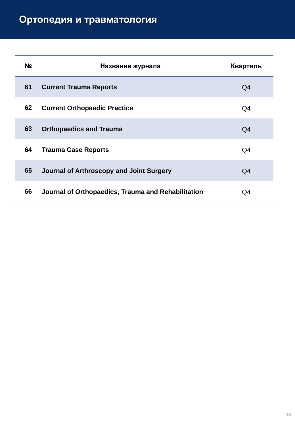| N <sub>2</sub> | Название журнала                                   | Квартиль |
|----------------|----------------------------------------------------|----------|
| 61             | <b>Current Trauma Reports</b>                      | Q4       |
| 62             | <b>Current Orthopaedic Practice</b>                | Q4       |
| 63             | <b>Orthopaedics and Trauma</b>                     | Q4       |
| 64             | <b>Trauma Case Reports</b>                         | Q4       |
| 65             | Journal of Arthroscopy and Joint Surgery           | Q4       |
| 66             | Journal of Orthopaedics, Trauma and Rehabilitation | Q4       |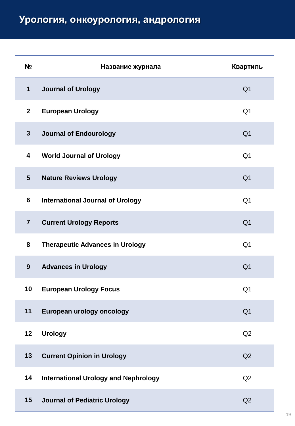## **Урология, онкоурология, андрология**

| N <sub>2</sub> | Название журнала                            | Квартиль       |
|----------------|---------------------------------------------|----------------|
| $\mathbf 1$    | <b>Journal of Urology</b>                   | Q <sub>1</sub> |
| $\mathbf{2}$   | <b>European Urology</b>                     | Q <sub>1</sub> |
| $\mathbf{3}$   | <b>Journal of Endourology</b>               | Q <sub>1</sub> |
| 4              | <b>World Journal of Urology</b>             | Q <sub>1</sub> |
| 5              | <b>Nature Reviews Urology</b>               | Q <sub>1</sub> |
| 6              | <b>International Journal of Urology</b>     | Q <sub>1</sub> |
| $\overline{7}$ | <b>Current Urology Reports</b>              | Q <sub>1</sub> |
| 8              | <b>Therapeutic Advances in Urology</b>      | Q <sub>1</sub> |
| 9              | <b>Advances in Urology</b>                  | Q <sub>1</sub> |
| 10             | <b>European Urology Focus</b>               | Q <sub>1</sub> |
| 11             | European urology oncology                   | Q <sub>1</sub> |
| 12             | <b>Urology</b>                              | Q2             |
| 13             | <b>Current Opinion in Urology</b>           | Q2             |
| 14             | <b>International Urology and Nephrology</b> | Q2             |
| 15             | <b>Journal of Pediatric Urology</b>         | Q2             |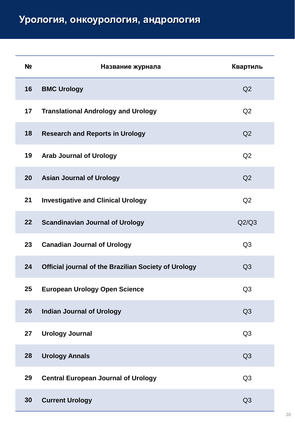## **Урология, онкоурология, андрология**

| N <sub>2</sub> | Название журнала                                     | Квартиль       |
|----------------|------------------------------------------------------|----------------|
| 16             | <b>BMC Urology</b>                                   | Q2             |
| 17             | <b>Translational Andrology and Urology</b>           | Q <sub>2</sub> |
| 18             | <b>Research and Reports in Urology</b>               | Q <sub>2</sub> |
| 19             | <b>Arab Journal of Urology</b>                       | Q2             |
| 20             | <b>Asian Journal of Urology</b>                      | Q2             |
| 21             | <b>Investigative and Clinical Urology</b>            | Q2             |
| 22             | <b>Scandinavian Journal of Urology</b>               | Q2/Q3          |
| 23             | <b>Canadian Journal of Urology</b>                   | Q <sub>3</sub> |
| 24             | Official journal of the Brazilian Society of Urology | Q <sub>3</sub> |
| 25             | <b>European Urology Open Science</b>                 | Q <sub>3</sub> |
| 26             | <b>Indian Journal of Urology</b>                     | Q3             |
| 27             | <b>Urology Journal</b>                               | Q <sub>3</sub> |
| 28             | <b>Urology Annals</b>                                | Q <sub>3</sub> |
| 29             | <b>Central European Journal of Urology</b>           | Q <sub>3</sub> |
| 30             | <b>Current Urology</b>                               | Q <sub>3</sub> |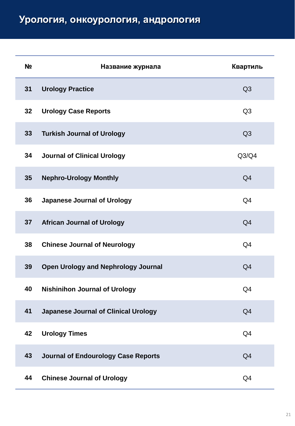## **Урология, онкоурология, андрология**

| N <sub>2</sub> | Название журнала                            | Квартиль       |
|----------------|---------------------------------------------|----------------|
| 31             | <b>Urology Practice</b>                     | Q3             |
| 32             | <b>Urology Case Reports</b>                 | Q <sub>3</sub> |
| 33             | <b>Turkish Journal of Urology</b>           | Q <sub>3</sub> |
| 34             | <b>Journal of Clinical Urology</b>          | Q3/Q4          |
| 35             | <b>Nephro-Urology Monthly</b>               | Q <sub>4</sub> |
| 36             | <b>Japanese Journal of Urology</b>          | Q <sub>4</sub> |
| 37             | <b>African Journal of Urology</b>           | Q <sub>4</sub> |
| 38             | <b>Chinese Journal of Neurology</b>         | Q <sub>4</sub> |
| 39             | <b>Open Urology and Nephrology Journal</b>  | Q <sub>4</sub> |
| 40             | <b>Nishinihon Journal of Urology</b>        | Q <sub>4</sub> |
| 41             | <b>Japanese Journal of Clinical Urology</b> | Q4             |
| 42             | <b>Urology Times</b>                        | Q <sub>4</sub> |
| 43             | <b>Journal of Endourology Case Reports</b>  | Q <sub>4</sub> |
| 44             | <b>Chinese Journal of Urology</b>           | Q <sub>4</sub> |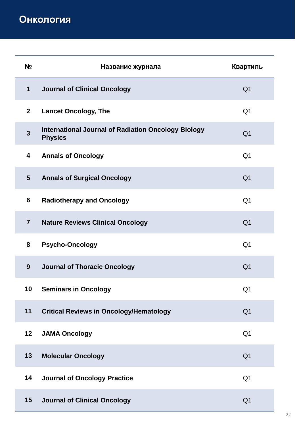**Онкология**

| N <sub>2</sub>          | Название журнала                                                             | Квартиль       |
|-------------------------|------------------------------------------------------------------------------|----------------|
| 1                       | <b>Journal of Clinical Oncology</b>                                          | Q <sub>1</sub> |
| $\overline{2}$          | <b>Lancet Oncology, The</b>                                                  | Q <sub>1</sub> |
| $\overline{\mathbf{3}}$ | <b>International Journal of Radiation Oncology Biology</b><br><b>Physics</b> | Q <sub>1</sub> |
| 4                       | <b>Annals of Oncology</b>                                                    | Q <sub>1</sub> |
| 5                       | <b>Annals of Surgical Oncology</b>                                           | Q <sub>1</sub> |
| 6                       | <b>Radiotherapy and Oncology</b>                                             | Q <sub>1</sub> |
| $\overline{7}$          | <b>Nature Reviews Clinical Oncology</b>                                      | Q <sub>1</sub> |
| 8                       | <b>Psycho-Oncology</b>                                                       | Q <sub>1</sub> |
| 9                       | <b>Journal of Thoracic Oncology</b>                                          | Q <sub>1</sub> |
| 10                      | <b>Seminars in Oncology</b>                                                  | Q <sub>1</sub> |
| 11                      | <b>Critical Reviews in Oncology/Hematology</b>                               | Q <sub>1</sub> |
| 12                      | <b>JAMA Oncology</b>                                                         | Q <sub>1</sub> |
| 13                      | <b>Molecular Oncology</b>                                                    | Q <sub>1</sub> |
| 14                      | <b>Journal of Oncology Practice</b>                                          | Q <sub>1</sub> |
| 15                      | <b>Journal of Clinical Oncology</b>                                          | Q <sub>1</sub> |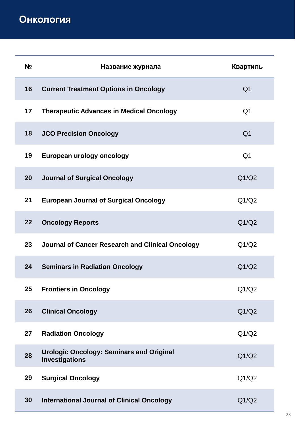| N <sub>2</sub> | Название журнала                                                         | Квартиль       |
|----------------|--------------------------------------------------------------------------|----------------|
| 16             | <b>Current Treatment Options in Oncology</b>                             | Q <sub>1</sub> |
| 17             | <b>Therapeutic Advances in Medical Oncology</b>                          | Q <sub>1</sub> |
| 18             | <b>JCO Precision Oncology</b>                                            | Q <sub>1</sub> |
| 19             | European urology oncology                                                | Q <sub>1</sub> |
| 20             | <b>Journal of Surgical Oncology</b>                                      | Q1/Q2          |
| 21             | <b>European Journal of Surgical Oncology</b>                             | Q1/Q2          |
| 22             | <b>Oncology Reports</b>                                                  | Q1/Q2          |
| 23             | <b>Journal of Cancer Research and Clinical Oncology</b>                  | Q1/Q2          |
| 24             | <b>Seminars in Radiation Oncology</b>                                    | Q1/Q2          |
| 25             | <b>Frontiers in Oncology</b>                                             | Q1/Q2          |
| 26             | <b>Clinical Oncology</b>                                                 | Q1/Q2          |
| 27             | <b>Radiation Oncology</b>                                                | Q1/Q2          |
| 28             | <b>Urologic Oncology: Seminars and Original</b><br><b>Investigations</b> | Q1/Q2          |
| 29             | <b>Surgical Oncology</b>                                                 | Q1/Q2          |
| 30             | <b>International Journal of Clinical Oncology</b>                        | Q1/Q2          |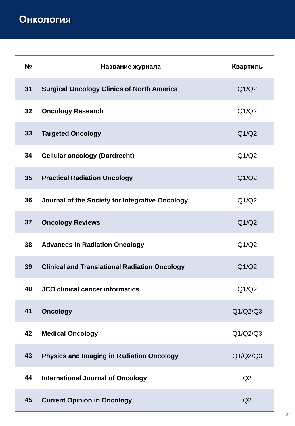| N <sub>2</sub> | Название журнала                                     | Квартиль |
|----------------|------------------------------------------------------|----------|
| 31             | <b>Surgical Oncology Clinics of North America</b>    | Q1/Q2    |
| 32             | <b>Oncology Research</b>                             | Q1/Q2    |
| 33             | <b>Targeted Oncology</b>                             | Q1/Q2    |
| 34             | <b>Cellular oncology (Dordrecht)</b>                 | Q1/Q2    |
| 35             | <b>Practical Radiation Oncology</b>                  | Q1/Q2    |
| 36             | Journal of the Society for Integrative Oncology      | Q1/Q2    |
| 37             | <b>Oncology Reviews</b>                              | Q1/Q2    |
| 38             | <b>Advances in Radiation Oncology</b>                | Q1/Q2    |
| 39             | <b>Clinical and Translational Radiation Oncology</b> | Q1/Q2    |
| 40             | <b>JCO clinical cancer informatics</b>               | Q1/Q2    |
| 41             | <b>Oncology</b>                                      | Q1/Q2/Q3 |
| 42             | <b>Medical Oncology</b>                              | Q1/Q2/Q3 |
| 43             | <b>Physics and Imaging in Radiation Oncology</b>     | Q1/Q2/Q3 |
| 44             | <b>International Journal of Oncology</b>             | Q2       |
| 45             | <b>Current Opinion in Oncology</b>                   | Q2       |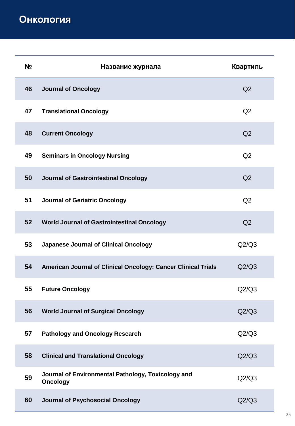| N <sub>2</sub> | Название журнала                                                      | Квартиль       |
|----------------|-----------------------------------------------------------------------|----------------|
| 46             | <b>Journal of Oncology</b>                                            | Q2             |
| 47             | <b>Translational Oncology</b>                                         | Q2             |
| 48             | <b>Current Oncology</b>                                               | Q <sub>2</sub> |
| 49             | <b>Seminars in Oncology Nursing</b>                                   | Q2             |
| 50             | Journal of Gastrointestinal Oncology                                  | Q <sub>2</sub> |
| 51             | <b>Journal of Geriatric Oncology</b>                                  | Q2             |
| 52             | <b>World Journal of Gastrointestinal Oncology</b>                     | Q <sub>2</sub> |
| 53             | <b>Japanese Journal of Clinical Oncology</b>                          | Q2/Q3          |
| 54             | American Journal of Clinical Oncology: Cancer Clinical Trials         | Q2/Q3          |
| 55             | <b>Future Oncology</b>                                                | Q2/Q3          |
| 56             | <b>World Journal of Surgical Oncology</b>                             | Q2/Q3          |
| 57             | <b>Pathology and Oncology Research</b>                                | Q2/Q3          |
| 58             | <b>Clinical and Translational Oncology</b>                            | Q2/Q3          |
| 59             | Journal of Environmental Pathology, Toxicology and<br><b>Oncology</b> | Q2/Q3          |
| 60             | Journal of Psychosocial Oncology                                      | Q2/Q3          |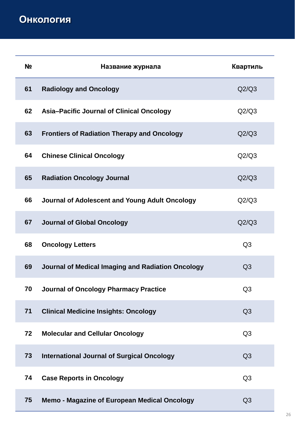| N <sub>2</sub> | Название журнала                                   | Квартиль       |
|----------------|----------------------------------------------------|----------------|
| 61             | <b>Radiology and Oncology</b>                      | Q2/Q3          |
| 62             | Asia-Pacific Journal of Clinical Oncology          | Q2/Q3          |
| 63             | <b>Frontiers of Radiation Therapy and Oncology</b> | Q2/Q3          |
| 64             | <b>Chinese Clinical Oncology</b>                   | Q2/Q3          |
| 65             | <b>Radiation Oncology Journal</b>                  | Q2/Q3          |
| 66             | Journal of Adolescent and Young Adult Oncology     | Q2/Q3          |
| 67             | <b>Journal of Global Oncology</b>                  | Q2/Q3          |
| 68             | <b>Oncology Letters</b>                            | Q <sub>3</sub> |
| 69             | Journal of Medical Imaging and Radiation Oncology  | Q <sub>3</sub> |
| 70             | <b>Journal of Oncology Pharmacy Practice</b>       | Q <sub>3</sub> |
| 71             | <b>Clinical Medicine Insights: Oncology</b>        | Q <sub>3</sub> |
| 72             | <b>Molecular and Cellular Oncology</b>             | Q <sub>3</sub> |
| 73             | <b>International Journal of Surgical Oncology</b>  | Q <sub>3</sub> |
| 74             | <b>Case Reports in Oncology</b>                    | Q <sub>3</sub> |
| 75             | Memo - Magazine of European Medical Oncology       | Q3             |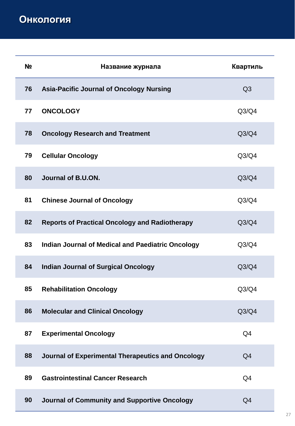| N <sub>2</sub> | Название журнала                                         | Квартиль       |
|----------------|----------------------------------------------------------|----------------|
| 76             | <b>Asia-Pacific Journal of Oncology Nursing</b>          | Q <sub>3</sub> |
| 77             | <b>ONCOLOGY</b>                                          | Q3/Q4          |
| 78             | <b>Oncology Research and Treatment</b>                   | Q3/Q4          |
| 79             | <b>Cellular Oncology</b>                                 | Q3/Q4          |
| 80             | Journal of B.U.ON.                                       | Q3/Q4          |
| 81             | <b>Chinese Journal of Oncology</b>                       | Q3/Q4          |
| 82             | <b>Reports of Practical Oncology and Radiotherapy</b>    | Q3/Q4          |
| 83             | <b>Indian Journal of Medical and Paediatric Oncology</b> | Q3/Q4          |
| 84             | <b>Indian Journal of Surgical Oncology</b>               | Q3/Q4          |
| 85             | <b>Rehabilitation Oncology</b>                           | Q3/Q4          |
| 86             | <b>Molecular and Clinical Oncology</b>                   | Q3/Q4          |
| 87             | <b>Experimental Oncology</b>                             | Q <sub>4</sub> |
| 88             | Journal of Experimental Therapeutics and Oncology        | Q <sub>4</sub> |
| 89             | <b>Gastrointestinal Cancer Research</b>                  | Q <sub>4</sub> |
| 90             | Journal of Community and Supportive Oncology             | Q <sub>4</sub> |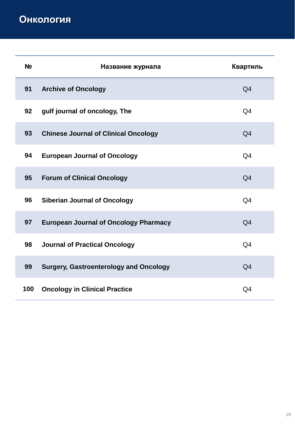| <b>No</b> | Название журнала                              | Квартиль       |
|-----------|-----------------------------------------------|----------------|
| 91        | <b>Archive of Oncology</b>                    | Q <sub>4</sub> |
| 92        | gulf journal of oncology, The                 | Q <sub>4</sub> |
| 93        | <b>Chinese Journal of Clinical Oncology</b>   | Q <sub>4</sub> |
| 94        | <b>European Journal of Oncology</b>           | Q <sub>4</sub> |
| 95        | <b>Forum of Clinical Oncology</b>             | Q <sub>4</sub> |
| 96        | <b>Siberian Journal of Oncology</b>           | Q <sub>4</sub> |
| 97        | <b>European Journal of Oncology Pharmacy</b>  | Q <sub>4</sub> |
| 98        | <b>Journal of Practical Oncology</b>          | Q <sub>4</sub> |
| 99        | <b>Surgery, Gastroenterology and Oncology</b> | Q <sub>4</sub> |
| 100       | <b>Oncology in Clinical Practice</b>          | Q4             |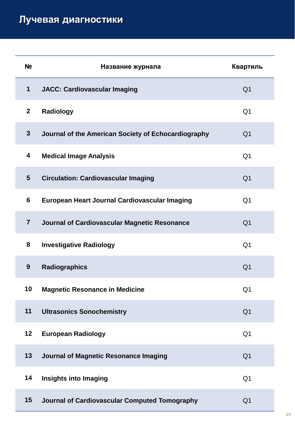| N <sub>2</sub> | Название журнала                                    | Квартиль       |
|----------------|-----------------------------------------------------|----------------|
| $\mathbf 1$    | <b>JACC: Cardiovascular Imaging</b>                 | Q <sub>1</sub> |
| $\mathbf{2}$   | Radiology                                           | Q <sub>1</sub> |
| $\mathbf{3}$   | Journal of the American Society of Echocardiography | Q <sub>1</sub> |
| 4              | <b>Medical Image Analysis</b>                       | Q <sub>1</sub> |
| $5\phantom{1}$ | <b>Circulation: Cardiovascular Imaging</b>          | Q <sub>1</sub> |
| 6              | European Heart Journal Cardiovascular Imaging       | Q <sub>1</sub> |
| $\overline{7}$ | Journal of Cardiovascular Magnetic Resonance        | Q <sub>1</sub> |
| 8              | <b>Investigative Radiology</b>                      | Q <sub>1</sub> |
| 9              | <b>Radiographics</b>                                | Q <sub>1</sub> |
| 10             | <b>Magnetic Resonance in Medicine</b>               | Q <sub>1</sub> |
| 11             | <b>Ultrasonics Sonochemistry</b>                    | Q <sub>1</sub> |
| 12             | <b>European Radiology</b>                           | Q <sub>1</sub> |
| 13             | Journal of Magnetic Resonance Imaging               | Q <sub>1</sub> |
| 14             | <b>Insights into Imaging</b>                        | Q <sub>1</sub> |
| 15             | Journal of Cardiovascular Computed Tomography       | Q <sub>1</sub> |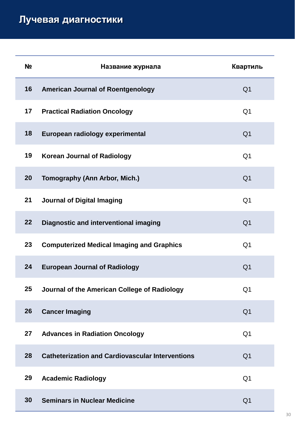| N <sub>2</sub> | Название журнала                                        | Квартиль       |
|----------------|---------------------------------------------------------|----------------|
| 16             | <b>American Journal of Roentgenology</b>                | Q <sub>1</sub> |
| 17             | <b>Practical Radiation Oncology</b>                     | Q <sub>1</sub> |
| 18             | European radiology experimental                         | Q <sub>1</sub> |
| 19             | <b>Korean Journal of Radiology</b>                      | Q <sub>1</sub> |
| 20             | <b>Tomography (Ann Arbor, Mich.)</b>                    | Q <sub>1</sub> |
| 21             | <b>Journal of Digital Imaging</b>                       | Q <sub>1</sub> |
| 22             | Diagnostic and interventional imaging                   | Q <sub>1</sub> |
| 23             | <b>Computerized Medical Imaging and Graphics</b>        | Q <sub>1</sub> |
| 24             | <b>European Journal of Radiology</b>                    | Q <sub>1</sub> |
| 25             | Journal of the American College of Radiology            | Q <sub>1</sub> |
| 26             | <b>Cancer Imaging</b>                                   | Q <sub>1</sub> |
| 27             | <b>Advances in Radiation Oncology</b>                   | Q <sub>1</sub> |
| 28             | <b>Catheterization and Cardiovascular Interventions</b> | Q <sub>1</sub> |
| 29             | <b>Academic Radiology</b>                               | Q <sub>1</sub> |
| 30             | <b>Seminars in Nuclear Medicine</b>                     | Q <sub>1</sub> |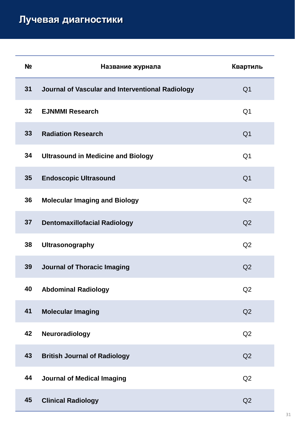| N <sub>2</sub> | Название журнала                                 | Квартиль       |
|----------------|--------------------------------------------------|----------------|
| 31             | Journal of Vascular and Interventional Radiology | Q <sub>1</sub> |
| 32             | <b>EJNMMI Research</b>                           | Q <sub>1</sub> |
| 33             | <b>Radiation Research</b>                        | Q <sub>1</sub> |
| 34             | <b>Ultrasound in Medicine and Biology</b>        | Q <sub>1</sub> |
| 35             | <b>Endoscopic Ultrasound</b>                     | Q <sub>1</sub> |
| 36             | <b>Molecular Imaging and Biology</b>             | Q2             |
| 37             | <b>Dentomaxillofacial Radiology</b>              | Q2             |
| 38             | <b>Ultrasonography</b>                           | Q2             |
| 39             | <b>Journal of Thoracic Imaging</b>               | Q2             |
| 40             | <b>Abdominal Radiology</b>                       | Q2             |
| 41             | <b>Molecular Imaging</b>                         | Q2             |
| 42             | Neuroradiology                                   | Q2             |
| 43             | <b>British Journal of Radiology</b>              | Q2             |
| 44             | <b>Journal of Medical Imaging</b>                | Q2             |
| 45             | <b>Clinical Radiology</b>                        | Q2             |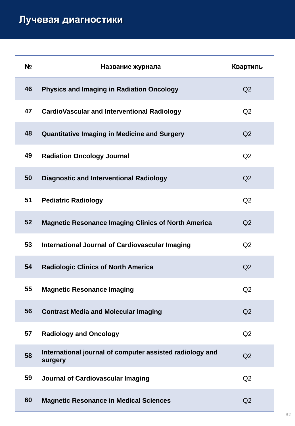| N <sub>2</sub> | Название журнала                                                    | Квартиль       |
|----------------|---------------------------------------------------------------------|----------------|
| 46             | <b>Physics and Imaging in Radiation Oncology</b>                    | Q2             |
| 47             | <b>CardioVascular and Interventional Radiology</b>                  | Q <sub>2</sub> |
| 48             | <b>Quantitative Imaging in Medicine and Surgery</b>                 | Q <sub>2</sub> |
| 49             | <b>Radiation Oncology Journal</b>                                   | Q2             |
| 50             | <b>Diagnostic and Interventional Radiology</b>                      | Q <sub>2</sub> |
| 51             | <b>Pediatric Radiology</b>                                          | Q <sub>2</sub> |
| 52             | <b>Magnetic Resonance Imaging Clinics of North America</b>          | Q2             |
| 53             | <b>International Journal of Cardiovascular Imaging</b>              | Q2             |
| 54             | <b>Radiologic Clinics of North America</b>                          | Q2             |
| 55             | <b>Magnetic Resonance Imaging</b>                                   | Q2             |
| 56             | <b>Contrast Media and Molecular Imaging</b>                         | Q2             |
| 57             | <b>Radiology and Oncology</b>                                       | Q <sub>2</sub> |
| 58             | International journal of computer assisted radiology and<br>surgery | Q2             |
| 59             | <b>Journal of Cardiovascular Imaging</b>                            | Q <sub>2</sub> |
| 60             | <b>Magnetic Resonance in Medical Sciences</b>                       | Q2             |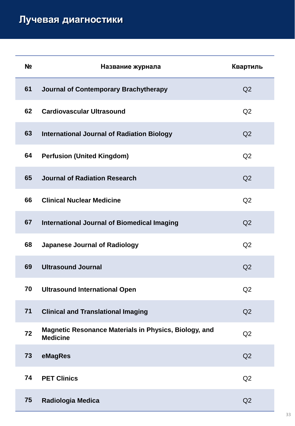| N <sub>2</sub> | Название журнала                                                         | Квартиль |
|----------------|--------------------------------------------------------------------------|----------|
| 61             | Journal of Contemporary Brachytherapy                                    | Q2       |
| 62             | <b>Cardiovascular Ultrasound</b>                                         | Q2       |
| 63             | <b>International Journal of Radiation Biology</b>                        | Q2       |
| 64             | <b>Perfusion (United Kingdom)</b>                                        | Q2       |
| 65             | Journal of Radiation Research                                            | Q2       |
| 66             | <b>Clinical Nuclear Medicine</b>                                         | Q2       |
| 67             | <b>International Journal of Biomedical Imaging</b>                       | Q2       |
| 68             | <b>Japanese Journal of Radiology</b>                                     | Q2       |
| 69             | <b>Ultrasound Journal</b>                                                | Q2       |
| 70             | <b>Ultrasound International Open</b>                                     | Q2       |
| 71             | <b>Clinical and Translational Imaging</b>                                | Q2       |
| 72             | Magnetic Resonance Materials in Physics, Biology, and<br><b>Medicine</b> | Q2       |
| 73             | eMagRes                                                                  | Q2       |
| 74             | <b>PET Clinics</b>                                                       | Q2       |
| 75             | Radiologia Medica                                                        | Q2       |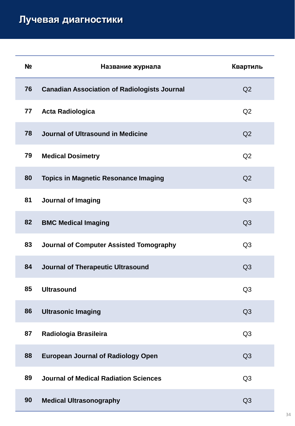| N <sub>2</sub> | Название журнала                                    | Квартиль       |
|----------------|-----------------------------------------------------|----------------|
| 76             | <b>Canadian Association of Radiologists Journal</b> | Q2             |
| 77             | <b>Acta Radiologica</b>                             | Q2             |
| 78             | Journal of Ultrasound in Medicine                   | Q2             |
| 79             | <b>Medical Dosimetry</b>                            | Q <sub>2</sub> |
| 80             | <b>Topics in Magnetic Resonance Imaging</b>         | Q <sub>2</sub> |
| 81             | <b>Journal of Imaging</b>                           | Q <sub>3</sub> |
| 82             | <b>BMC Medical Imaging</b>                          | Q <sub>3</sub> |
| 83             | Journal of Computer Assisted Tomography             | Q <sub>3</sub> |
| 84             | Journal of Therapeutic Ultrasound                   | Q <sub>3</sub> |
| 85             | <b>Ultrasound</b>                                   | Q <sub>3</sub> |
| 86             | <b>Ultrasonic Imaging</b>                           | Q <sub>3</sub> |
| 87             | Radiologia Brasileira                               | Q <sub>3</sub> |
| 88             | <b>European Journal of Radiology Open</b>           | Q <sub>3</sub> |
| 89             | <b>Journal of Medical Radiation Sciences</b>        | Q <sub>3</sub> |
| 90             | <b>Medical Ultrasonography</b>                      | Q3             |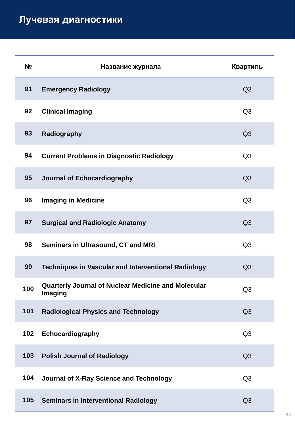| N <sub>2</sub> | Название журнала                                                             | Квартиль       |
|----------------|------------------------------------------------------------------------------|----------------|
| 91             | <b>Emergency Radiology</b>                                                   | Q3             |
| 92             | <b>Clinical Imaging</b>                                                      | Q <sub>3</sub> |
| 93             | Radiography                                                                  | Q <sub>3</sub> |
| 94             | <b>Current Problems in Diagnostic Radiology</b>                              | Q <sub>3</sub> |
| 95             | Journal of Echocardiography                                                  | Q <sub>3</sub> |
| 96             | <b>Imaging in Medicine</b>                                                   | Q <sub>3</sub> |
| 97             | <b>Surgical and Radiologic Anatomy</b>                                       | Q <sub>3</sub> |
| 98             | <b>Seminars in Ultrasound, CT and MRI</b>                                    | Q <sub>3</sub> |
| 99             | <b>Techniques in Vascular and Interventional Radiology</b>                   | Q <sub>3</sub> |
| 100            | <b>Quarterly Journal of Nuclear Medicine and Molecular</b><br><b>Imaging</b> | Q <sub>3</sub> |
| 101            | <b>Radiological Physics and Technology</b>                                   | Q <sub>3</sub> |
| 102            | Echocardiography                                                             | Q <sub>3</sub> |
| 103            | <b>Polish Journal of Radiology</b>                                           | Q <sub>3</sub> |
| 104            | <b>Journal of X-Ray Science and Technology</b>                               | Q <sub>3</sub> |
| 105            | <b>Seminars in Interventional Radiology</b>                                  | Q <sub>3</sub> |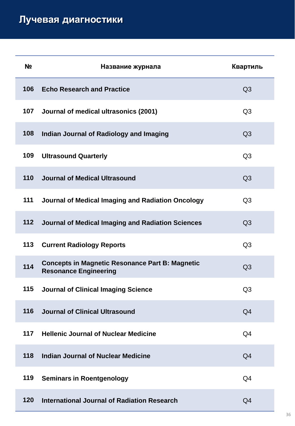| N <sub>2</sub> | Название журнала                                                                       | Квартиль       |
|----------------|----------------------------------------------------------------------------------------|----------------|
| 106            | <b>Echo Research and Practice</b>                                                      | Q <sub>3</sub> |
| 107            | Journal of medical ultrasonics (2001)                                                  | Q <sub>3</sub> |
| 108            | Indian Journal of Radiology and Imaging                                                | Q <sub>3</sub> |
| 109            | <b>Ultrasound Quarterly</b>                                                            | Q <sub>3</sub> |
| 110            | Journal of Medical Ultrasound                                                          | Q <sub>3</sub> |
| 111            | Journal of Medical Imaging and Radiation Oncology                                      | Q <sub>3</sub> |
| 112            | Journal of Medical Imaging and Radiation Sciences                                      | Q <sub>3</sub> |
| 113            | <b>Current Radiology Reports</b>                                                       | Q <sub>3</sub> |
| 114            | <b>Concepts in Magnetic Resonance Part B: Magnetic</b><br><b>Resonance Engineering</b> | Q <sub>3</sub> |
| 115            | <b>Journal of Clinical Imaging Science</b>                                             | Q <sub>3</sub> |
| 116            | Journal of Clinical Ultrasound                                                         | Q <sub>4</sub> |
| 117            | <b>Hellenic Journal of Nuclear Medicine</b>                                            | Q4             |
| 118            | <b>Indian Journal of Nuclear Medicine</b>                                              | Q <sub>4</sub> |
| 119            | <b>Seminars in Roentgenology</b>                                                       | Q <sub>4</sub> |
| 120            | International Journal of Radiation Research                                            | Q <sub>4</sub> |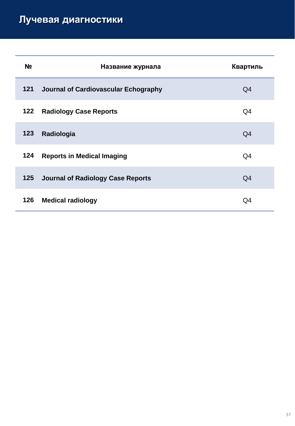| Nº  | Название журнала                         | Квартиль |
|-----|------------------------------------------|----------|
| 121 | Journal of Cardiovascular Echography     | Q4       |
| 122 | <b>Radiology Case Reports</b>            | Q4       |
| 123 | Radiologia                               | Q4       |
| 124 | <b>Reports in Medical Imaging</b>        | Q4       |
| 125 | <b>Journal of Radiology Case Reports</b> | Q4       |
| 126 | <b>Medical radiology</b>                 | Q4       |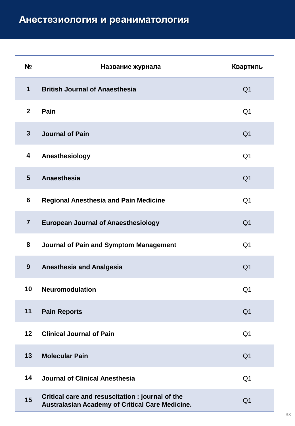| N <sub>2</sub> | Название журнала                                                                                    | Квартиль       |
|----------------|-----------------------------------------------------------------------------------------------------|----------------|
| $\mathbf 1$    | <b>British Journal of Anaesthesia</b>                                                               | Q <sub>1</sub> |
| $\mathbf{2}$   | Pain                                                                                                | Q <sub>1</sub> |
| $\overline{3}$ | Journal of Pain                                                                                     | Q <sub>1</sub> |
| 4              | Anesthesiology                                                                                      | Q <sub>1</sub> |
| 5              | Anaesthesia                                                                                         | Q <sub>1</sub> |
| $6\phantom{1}$ | <b>Regional Anesthesia and Pain Medicine</b>                                                        | Q <sub>1</sub> |
| $\overline{7}$ | <b>European Journal of Anaesthesiology</b>                                                          | Q <sub>1</sub> |
| 8              | <b>Journal of Pain and Symptom Management</b>                                                       | Q <sub>1</sub> |
| 9              | <b>Anesthesia and Analgesia</b>                                                                     | Q <sub>1</sub> |
| 10             | <b>Neuromodulation</b>                                                                              | Q <sub>1</sub> |
| 11             | <b>Pain Reports</b>                                                                                 | Q <sub>1</sub> |
| 12             | <b>Clinical Journal of Pain</b>                                                                     | Q <sub>1</sub> |
| 13             | <b>Molecular Pain</b>                                                                               | Q <sub>1</sub> |
| 14             | <b>Journal of Clinical Anesthesia</b>                                                               | Q <sub>1</sub> |
| 15             | Critical care and resuscitation : journal of the<br>Australasian Academy of Critical Care Medicine. | Q <sub>1</sub> |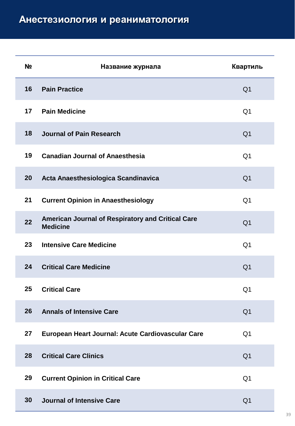| N <sub>2</sub> | Название журнала                                                     | Квартиль       |
|----------------|----------------------------------------------------------------------|----------------|
| 16             | <b>Pain Practice</b>                                                 | Q <sub>1</sub> |
| 17             | <b>Pain Medicine</b>                                                 | Q <sub>1</sub> |
| 18             | Journal of Pain Research                                             | Q <sub>1</sub> |
| 19             | <b>Canadian Journal of Anaesthesia</b>                               | Q <sub>1</sub> |
| 20             | Acta Anaesthesiologica Scandinavica                                  | Q <sub>1</sub> |
| 21             | <b>Current Opinion in Anaesthesiology</b>                            | Q <sub>1</sub> |
| 22             | American Journal of Respiratory and Critical Care<br><b>Medicine</b> | Q <sub>1</sub> |
| 23             | <b>Intensive Care Medicine</b>                                       | Q <sub>1</sub> |
| 24             | <b>Critical Care Medicine</b>                                        | Q <sub>1</sub> |
| 25             | <b>Critical Care</b>                                                 | Q <sub>1</sub> |
| 26             | <b>Annals of Intensive Care</b>                                      | Q <sub>1</sub> |
| 27             | European Heart Journal: Acute Cardiovascular Care                    | Q <sub>1</sub> |
| 28             | <b>Critical Care Clinics</b>                                         | Q <sub>1</sub> |
| 29             | <b>Current Opinion in Critical Care</b>                              | Q <sub>1</sub> |
| 30             | <b>Journal of Intensive Care</b>                                     | Q <sub>1</sub> |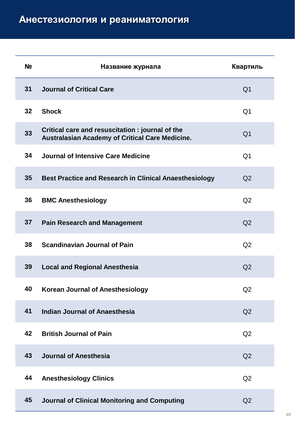| N <sub>2</sub> | Название журнала                                                                                   | Квартиль       |
|----------------|----------------------------------------------------------------------------------------------------|----------------|
| 31             | <b>Journal of Critical Care</b>                                                                    | Q <sub>1</sub> |
| 32             | <b>Shock</b>                                                                                       | Q <sub>1</sub> |
| 33             | Critical care and resuscitation: journal of the<br>Australasian Academy of Critical Care Medicine. | Q <sub>1</sub> |
| 34             | Journal of Intensive Care Medicine                                                                 | Q <sub>1</sub> |
| 35             | <b>Best Practice and Research in Clinical Anaesthesiology</b>                                      | Q <sub>2</sub> |
| 36             | <b>BMC Anesthesiology</b>                                                                          | Q <sub>2</sub> |
| 37             | <b>Pain Research and Management</b>                                                                | Q2             |
| 38             | <b>Scandinavian Journal of Pain</b>                                                                | Q <sub>2</sub> |
| 39             | <b>Local and Regional Anesthesia</b>                                                               | Q2             |
| 40             | <b>Korean Journal of Anesthesiology</b>                                                            | Q2             |
| 41             | <b>Indian Journal of Anaesthesia</b>                                                               | Q2             |
| 42             | <b>British Journal of Pain</b>                                                                     | Q <sub>2</sub> |
| 43             | Journal of Anesthesia                                                                              | Q <sub>2</sub> |
| 44             | <b>Anesthesiology Clinics</b>                                                                      | Q2             |
| 45             | Journal of Clinical Monitoring and Computing                                                       | Q2             |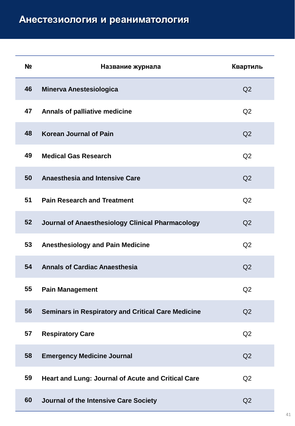| N <sub>2</sub> | Название журнала                                          | Квартиль       |
|----------------|-----------------------------------------------------------|----------------|
| 46             | <b>Minerva Anestesiologica</b>                            | Q2             |
| 47             | <b>Annals of palliative medicine</b>                      | Q2             |
| 48             | <b>Korean Journal of Pain</b>                             | Q2             |
| 49             | <b>Medical Gas Research</b>                               | Q <sub>2</sub> |
| 50             | <b>Anaesthesia and Intensive Care</b>                     | Q2             |
| 51             | <b>Pain Research and Treatment</b>                        | Q2             |
| 52             | Journal of Anaesthesiology Clinical Pharmacology          | Q2             |
| 53             | <b>Anesthesiology and Pain Medicine</b>                   | Q2             |
| 54             | <b>Annals of Cardiac Anaesthesia</b>                      | Q2             |
| 55             | <b>Pain Management</b>                                    | Q2             |
| 56             | <b>Seminars in Respiratory and Critical Care Medicine</b> | Q2             |
| 57             | <b>Respiratory Care</b>                                   | Q2             |
| 58             | <b>Emergency Medicine Journal</b>                         | Q2             |
| 59             | Heart and Lung: Journal of Acute and Critical Care        | Q2             |
| 60             | Journal of the Intensive Care Society                     | Q2             |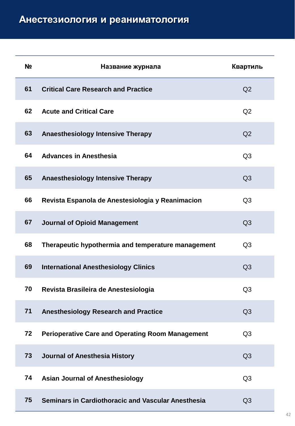| N <sub>2</sub> | Название журнала                                        | Квартиль       |
|----------------|---------------------------------------------------------|----------------|
| 61             | <b>Critical Care Research and Practice</b>              | Q2             |
| 62             | <b>Acute and Critical Care</b>                          | Q2             |
| 63             | <b>Anaesthesiology Intensive Therapy</b>                | Q <sub>2</sub> |
| 64             | <b>Advances in Anesthesia</b>                           | Q <sub>3</sub> |
| 65             | <b>Anaesthesiology Intensive Therapy</b>                | Q <sub>3</sub> |
| 66             | Revista Espanola de Anestesiologia y Reanimacion        | Q <sub>3</sub> |
| 67             | <b>Journal of Opioid Management</b>                     | Q <sub>3</sub> |
| 68             | Therapeutic hypothermia and temperature management      | Q <sub>3</sub> |
| 69             | <b>International Anesthesiology Clinics</b>             | Q <sub>3</sub> |
| 70             | Revista Brasileira de Anestesiologia                    | Q <sub>3</sub> |
| 71             | <b>Anesthesiology Research and Practice</b>             | Q <sub>3</sub> |
| 72             | <b>Perioperative Care and Operating Room Management</b> | Q <sub>3</sub> |
| 73             | Journal of Anesthesia History                           | Q <sub>3</sub> |
| 74             | <b>Asian Journal of Anesthesiology</b>                  | Q <sub>3</sub> |
| 75             | Seminars in Cardiothoracic and Vascular Anesthesia      | Q3             |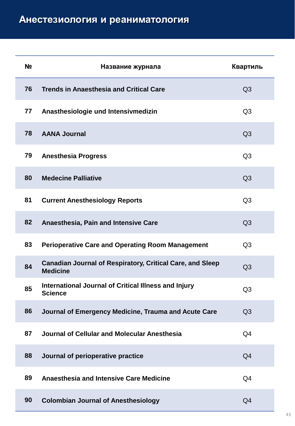| N <sub>2</sub> | Название журнала                                                                    | Квартиль       |
|----------------|-------------------------------------------------------------------------------------|----------------|
| 76             | <b>Trends in Anaesthesia and Critical Care</b>                                      | Q <sub>3</sub> |
| 77             | Anasthesiologie und Intensivmedizin                                                 | Q <sub>3</sub> |
| 78             | <b>AANA Journal</b>                                                                 | Q <sub>3</sub> |
| 79             | <b>Anesthesia Progress</b>                                                          | Q <sub>3</sub> |
| 80             | <b>Medecine Palliative</b>                                                          | Q <sub>3</sub> |
| 81             | <b>Current Anesthesiology Reports</b>                                               | Q <sub>3</sub> |
| 82             | Anaesthesia, Pain and Intensive Care                                                | Q <sub>3</sub> |
| 83             | <b>Perioperative Care and Operating Room Management</b>                             | Q <sub>3</sub> |
| 84             | <b>Canadian Journal of Respiratory, Critical Care, and Sleep</b><br><b>Medicine</b> | Q <sub>3</sub> |
| 85             | International Journal of Critical Illness and Injury<br><b>Science</b>              | Q <sub>3</sub> |
| 86             | Journal of Emergency Medicine, Trauma and Acute Care                                | Q <sub>3</sub> |
| 87             | Journal of Cellular and Molecular Anesthesia                                        | Q <sub>4</sub> |
| 88             | Journal of perioperative practice                                                   | Q <sub>4</sub> |
| 89             | <b>Anaesthesia and Intensive Care Medicine</b>                                      | Q <sub>4</sub> |
| 90             | <b>Colombian Journal of Anesthesiology</b>                                          | Q <sub>4</sub> |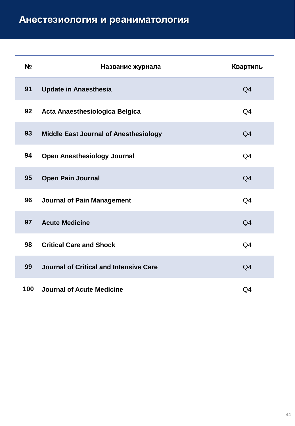| N <sub>o</sub> | Название журнала                             | Квартиль       |
|----------------|----------------------------------------------|----------------|
| 91             | <b>Update in Anaesthesia</b>                 | Q <sub>4</sub> |
| 92             | Acta Anaesthesiologica Belgica               | Q <sub>4</sub> |
| 93             | <b>Middle East Journal of Anesthesiology</b> | Q <sub>4</sub> |
| 94             | <b>Open Anesthesiology Journal</b>           | Q <sub>4</sub> |
| 95             | <b>Open Pain Journal</b>                     | Q <sub>4</sub> |
| 96             | <b>Journal of Pain Management</b>            | Q <sub>4</sub> |
| 97             | <b>Acute Medicine</b>                        | Q <sub>4</sub> |
| 98             | <b>Critical Care and Shock</b>               | Q <sub>4</sub> |
| 99             | Journal of Critical and Intensive Care       | Q <sub>4</sub> |
| 100            | <b>Journal of Acute Medicine</b>             | Q4             |